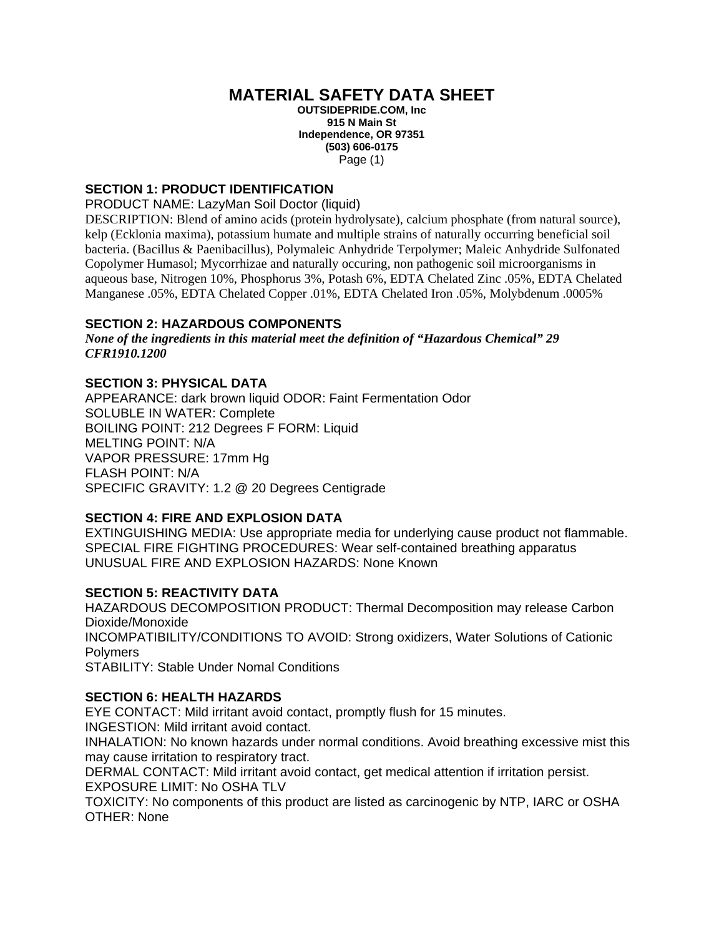# **MATERIAL SAFETY DATA SHEET**

**OUTSIDEPRIDE.COM, Inc 915 N Main St Independence, OR 97351 (503) 606-0175**  Page (1)

# **SECTION 1: PRODUCT IDENTIFICATION**

PRODUCT NAME: LazyMan Soil Doctor (liquid)

DESCRIPTION: Blend of amino acids (protein hydrolysate), calcium phosphate (from natural source), kelp (Ecklonia maxima), potassium humate and multiple strains of naturally occurring beneficial soil bacteria. (Bacillus & Paenibacillus), Polymaleic Anhydride Terpolymer; Maleic Anhydride Sulfonated Copolymer Humasol; Mycorrhizae and naturally occuring, non pathogenic soil microorganisms in aqueous base, Nitrogen 10%, Phosphorus 3%, Potash 6%, EDTA Chelated Zinc .05%, EDTA Chelated Manganese .05%, EDTA Chelated Copper .01%, EDTA Chelated Iron .05%, Molybdenum .0005%

## **SECTION 2: HAZARDOUS COMPONENTS**

*None of the ingredients in this material meet the definition of "Hazardous Chemical" 29 CFR1910.1200* 

# **SECTION 3: PHYSICAL DATA**

APPEARANCE: dark brown liquid ODOR: Faint Fermentation Odor SOLUBLE IN WATER: Complete BOILING POINT: 212 Degrees F FORM: Liquid MELTING POINT: N/A VAPOR PRESSURE: 17mm Hg FLASH POINT: N/A SPECIFIC GRAVITY: 1.2 @ 20 Degrees Centigrade

#### **SECTION 4: FIRE AND EXPLOSION DATA**

EXTINGUISHING MEDIA: Use appropriate media for underlying cause product not flammable. SPECIAL FIRE FIGHTING PROCEDURES: Wear self-contained breathing apparatus UNUSUAL FIRE AND EXPLOSION HAZARDS: None Known

#### **SECTION 5: REACTIVITY DATA**

HAZARDOUS DECOMPOSITION PRODUCT: Thermal Decomposition may release Carbon Dioxide/Monoxide INCOMPATIBILITY/CONDITIONS TO AVOID: Strong oxidizers, Water Solutions of Cationic Polymers STABILITY: Stable Under Nomal Conditions

## **SECTION 6: HEALTH HAZARDS**

EYE CONTACT: Mild irritant avoid contact, promptly flush for 15 minutes.

INGESTION: Mild irritant avoid contact.

INHALATION: No known hazards under normal conditions. Avoid breathing excessive mist this may cause irritation to respiratory tract.

DERMAL CONTACT: Mild irritant avoid contact, get medical attention if irritation persist. EXPOSURE LIMIT: No OSHA TLV

TOXICITY: No components of this product are listed as carcinogenic by NTP, IARC or OSHA OTHER: None